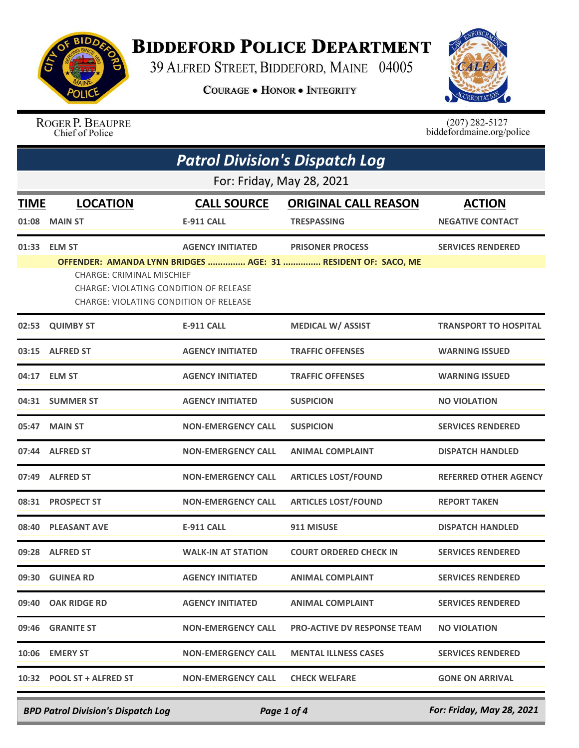

## **BIDDEFORD POLICE DEPARTMENT**

39 ALFRED STREET, BIDDEFORD, MAINE 04005

**COURAGE . HONOR . INTEGRITY** 



ROGER P. BEAUPRE<br>Chief of Police

 $(207)$  282-5127<br>biddefordmaine.org/police

|                      | <b>Patrol Division's Dispatch Log</b>                                                                                                       |                                         |                                                                                          |                                          |  |  |
|----------------------|---------------------------------------------------------------------------------------------------------------------------------------------|-----------------------------------------|------------------------------------------------------------------------------------------|------------------------------------------|--|--|
|                      | For: Friday, May 28, 2021                                                                                                                   |                                         |                                                                                          |                                          |  |  |
| <b>TIME</b><br>01:08 | <b>LOCATION</b><br><b>MAIN ST</b>                                                                                                           | <b>CALL SOURCE</b><br><b>E-911 CALL</b> | <b>ORIGINAL CALL REASON</b><br><b>TRESPASSING</b>                                        | <b>ACTION</b><br><b>NEGATIVE CONTACT</b> |  |  |
|                      | 01:33 ELM ST<br><b>CHARGE: CRIMINAL MISCHIEF</b><br>CHARGE: VIOLATING CONDITION OF RELEASE<br><b>CHARGE: VIOLATING CONDITION OF RELEASE</b> | <b>AGENCY INITIATED</b>                 | <b>PRISONER PROCESS</b><br>OFFENDER: AMANDA LYNN BRIDGES  AGE: 31  RESIDENT OF: SACO, ME | <b>SERVICES RENDERED</b>                 |  |  |
| 02:53                | <b>QUIMBY ST</b>                                                                                                                            | <b>E-911 CALL</b>                       | <b>MEDICAL W/ ASSIST</b>                                                                 | <b>TRANSPORT TO HOSPITAL</b>             |  |  |
| 03:15                | <b>ALFRED ST</b>                                                                                                                            | <b>AGENCY INITIATED</b>                 | <b>TRAFFIC OFFENSES</b>                                                                  | <b>WARNING ISSUED</b>                    |  |  |
|                      | 04:17 ELM ST                                                                                                                                | <b>AGENCY INITIATED</b>                 | <b>TRAFFIC OFFENSES</b>                                                                  | <b>WARNING ISSUED</b>                    |  |  |
|                      | 04:31 SUMMER ST                                                                                                                             | <b>AGENCY INITIATED</b>                 | <b>SUSPICION</b>                                                                         | <b>NO VIOLATION</b>                      |  |  |
| 05:47                | <b>MAIN ST</b>                                                                                                                              | <b>NON-EMERGENCY CALL</b>               | <b>SUSPICION</b>                                                                         | <b>SERVICES RENDERED</b>                 |  |  |
|                      | 07:44 ALFRED ST                                                                                                                             | <b>NON-EMERGENCY CALL</b>               | <b>ANIMAL COMPLAINT</b>                                                                  | <b>DISPATCH HANDLED</b>                  |  |  |
| 07:49                | <b>ALFRED ST</b>                                                                                                                            | <b>NON-EMERGENCY CALL</b>               | <b>ARTICLES LOST/FOUND</b>                                                               | <b>REFERRED OTHER AGENCY</b>             |  |  |
|                      | 08:31 PROSPECT ST                                                                                                                           | <b>NON-EMERGENCY CALL</b>               | <b>ARTICLES LOST/FOUND</b>                                                               | <b>REPORT TAKEN</b>                      |  |  |
| 08:40                | <b>PLEASANT AVE</b>                                                                                                                         | <b>E-911 CALL</b>                       | 911 MISUSE                                                                               | <b>DISPATCH HANDLED</b>                  |  |  |
| 09:28                | <b>ALFRED ST</b>                                                                                                                            | <b>WALK-IN AT STATION</b>               | <b>COURT ORDERED CHECK IN</b>                                                            | <b>SERVICES RENDERED</b>                 |  |  |
|                      | 09:30 GUINEA RD                                                                                                                             | <b>AGENCY INITIATED</b>                 | <b>ANIMAL COMPLAINT</b>                                                                  | <b>SERVICES RENDERED</b>                 |  |  |
|                      | 09:40 OAK RIDGE RD                                                                                                                          | <b>AGENCY INITIATED</b>                 | <b>ANIMAL COMPLAINT</b>                                                                  | <b>SERVICES RENDERED</b>                 |  |  |
|                      | 09:46 GRANITE ST                                                                                                                            | <b>NON-EMERGENCY CALL</b>               | <b>PRO-ACTIVE DV RESPONSE TEAM</b>                                                       | <b>NO VIOLATION</b>                      |  |  |
|                      | 10:06 EMERY ST                                                                                                                              | <b>NON-EMERGENCY CALL</b>               | <b>MENTAL ILLNESS CASES</b>                                                              | <b>SERVICES RENDERED</b>                 |  |  |
|                      | 10:32 POOL ST + ALFRED ST                                                                                                                   | <b>NON-EMERGENCY CALL</b>               | <b>CHECK WELFARE</b>                                                                     | <b>GONE ON ARRIVAL</b>                   |  |  |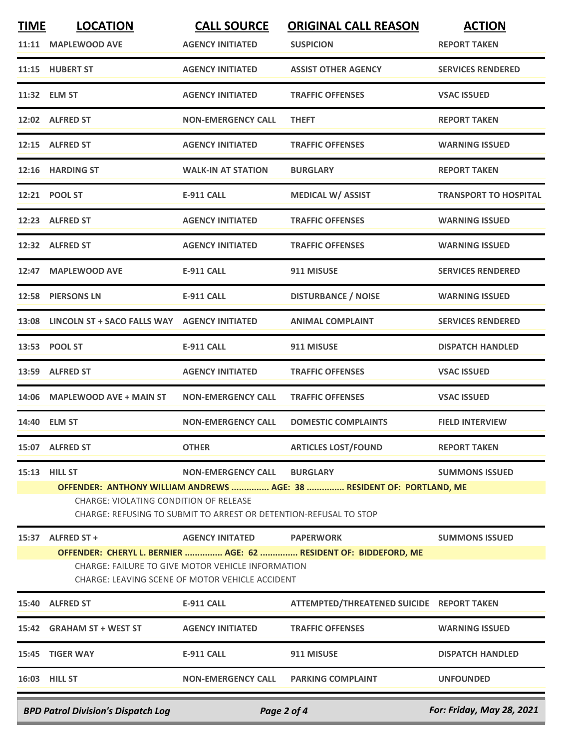| <b>TIME</b>                               | <b>LOCATION</b>                                                                                             | <b>CALL SOURCE</b>        | <b>ORIGINAL CALL REASON</b>                                           | <b>ACTION</b>                |  |
|-------------------------------------------|-------------------------------------------------------------------------------------------------------------|---------------------------|-----------------------------------------------------------------------|------------------------------|--|
| 11:11                                     | <b>MAPLEWOOD AVE</b>                                                                                        | <b>AGENCY INITIATED</b>   | <b>SUSPICION</b>                                                      | <b>REPORT TAKEN</b>          |  |
|                                           | 11:15 HUBERT ST                                                                                             | <b>AGENCY INITIATED</b>   | <b>ASSIST OTHER AGENCY</b>                                            | <b>SERVICES RENDERED</b>     |  |
|                                           | 11:32 ELM ST                                                                                                | <b>AGENCY INITIATED</b>   | <b>TRAFFIC OFFENSES</b>                                               | <b>VSAC ISSUED</b>           |  |
|                                           | 12:02 ALFRED ST                                                                                             | <b>NON-EMERGENCY CALL</b> | <b>THEFT</b>                                                          | <b>REPORT TAKEN</b>          |  |
|                                           | 12:15 ALFRED ST                                                                                             | <b>AGENCY INITIATED</b>   | <b>TRAFFIC OFFENSES</b>                                               | <b>WARNING ISSUED</b>        |  |
|                                           | 12:16 HARDING ST                                                                                            | <b>WALK-IN AT STATION</b> | <b>BURGLARY</b>                                                       | <b>REPORT TAKEN</b>          |  |
|                                           | 12:21 POOL ST                                                                                               | <b>E-911 CALL</b>         | <b>MEDICAL W/ ASSIST</b>                                              | <b>TRANSPORT TO HOSPITAL</b> |  |
|                                           | 12:23 ALFRED ST                                                                                             | <b>AGENCY INITIATED</b>   | <b>TRAFFIC OFFENSES</b>                                               | <b>WARNING ISSUED</b>        |  |
| 12:32                                     | <b>ALFRED ST</b>                                                                                            | <b>AGENCY INITIATED</b>   | <b>TRAFFIC OFFENSES</b>                                               | <b>WARNING ISSUED</b>        |  |
|                                           | 12:47 MAPLEWOOD AVE                                                                                         | <b>E-911 CALL</b>         | 911 MISUSE                                                            | <b>SERVICES RENDERED</b>     |  |
|                                           | 12:58 PIERSONS LN                                                                                           | <b>E-911 CALL</b>         | <b>DISTURBANCE / NOISE</b>                                            | <b>WARNING ISSUED</b>        |  |
| 13:08                                     | LINCOLN ST + SACO FALLS WAY                                                                                 | <b>AGENCY INITIATED</b>   | <b>ANIMAL COMPLAINT</b>                                               | <b>SERVICES RENDERED</b>     |  |
|                                           | 13:53 POOL ST                                                                                               | <b>E-911 CALL</b>         | 911 MISUSE                                                            | <b>DISPATCH HANDLED</b>      |  |
|                                           | 13:59 ALFRED ST                                                                                             | <b>AGENCY INITIATED</b>   | <b>TRAFFIC OFFENSES</b>                                               | <b>VSAC ISSUED</b>           |  |
|                                           | 14:06 MAPLEWOOD AVE + MAIN ST                                                                               | <b>NON-EMERGENCY CALL</b> | <b>TRAFFIC OFFENSES</b>                                               | <b>VSAC ISSUED</b>           |  |
|                                           | 14:40 ELM ST                                                                                                | <b>NON-EMERGENCY CALL</b> | <b>DOMESTIC COMPLAINTS</b>                                            | <b>FIELD INTERVIEW</b>       |  |
|                                           | 15:07 ALFRED ST                                                                                             | <b>OTHER</b>              | <b>ARTICLES LOST/FOUND</b>                                            | <b>REPORT TAKEN</b>          |  |
|                                           | 15:13 HILL ST                                                                                               | <b>NON-EMERGENCY CALL</b> | <b>BURGLARY</b>                                                       | <b>SUMMONS ISSUED</b>        |  |
|                                           |                                                                                                             |                           | OFFENDER: ANTHONY WILLIAM ANDREWS  AGE: 38  RESIDENT OF: PORTLAND, ME |                              |  |
|                                           | CHARGE: VIOLATING CONDITION OF RELEASE<br>CHARGE: REFUSING TO SUBMIT TO ARREST OR DETENTION-REFUSAL TO STOP |                           |                                                                       |                              |  |
|                                           | 15:37 ALFRED ST +                                                                                           | <b>AGENCY INITATED</b>    | <b>PAPERWORK</b>                                                      | <b>SUMMONS ISSUED</b>        |  |
|                                           |                                                                                                             |                           | OFFENDER: CHERYL L. BERNIER  AGE: 62  RESIDENT OF: BIDDEFORD, ME      |                              |  |
|                                           | CHARGE: FAILURE TO GIVE MOTOR VEHICLE INFORMATION<br>CHARGE: LEAVING SCENE OF MOTOR VEHICLE ACCIDENT        |                           |                                                                       |                              |  |
|                                           | 15:40 ALFRED ST                                                                                             | <b>E-911 CALL</b>         | ATTEMPTED/THREATENED SUICIDE REPORT TAKEN                             |                              |  |
|                                           | 15:42 GRAHAM ST + WEST ST                                                                                   | <b>AGENCY INITIATED</b>   | <b>TRAFFIC OFFENSES</b>                                               | <b>WARNING ISSUED</b>        |  |
|                                           | 15:45 TIGER WAY                                                                                             | <b>E-911 CALL</b>         | 911 MISUSE                                                            | <b>DISPATCH HANDLED</b>      |  |
|                                           | 16:03 HILL ST                                                                                               | <b>NON-EMERGENCY CALL</b> | <b>PARKING COMPLAINT</b>                                              | <b>UNFOUNDED</b>             |  |
| <b>BPD Patrol Division's Dispatch Log</b> |                                                                                                             | Page 2 of 4               |                                                                       | For: Friday, May 28, 2021    |  |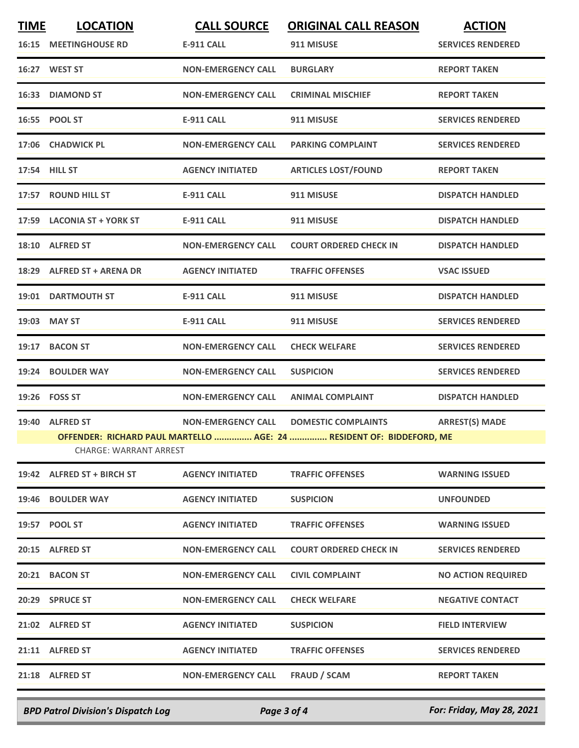| <b>TIME</b> | <b>LOCATION</b>                                                                                | <b>CALL SOURCE</b>        | <b>ORIGINAL CALL REASON</b>   | <b>ACTION</b>             |  |
|-------------|------------------------------------------------------------------------------------------------|---------------------------|-------------------------------|---------------------------|--|
|             | <b>16:15 MEETINGHOUSE RD</b>                                                                   | <b>E-911 CALL</b>         | 911 MISUSE                    | <b>SERVICES RENDERED</b>  |  |
|             | 16:27 WEST ST                                                                                  | <b>NON-EMERGENCY CALL</b> | <b>BURGLARY</b>               | <b>REPORT TAKEN</b>       |  |
|             | 16:33 DIAMOND ST                                                                               | <b>NON-EMERGENCY CALL</b> | <b>CRIMINAL MISCHIEF</b>      | <b>REPORT TAKEN</b>       |  |
|             | 16:55 POOL ST                                                                                  | <b>E-911 CALL</b>         | 911 MISUSE                    | <b>SERVICES RENDERED</b>  |  |
|             | 17:06 CHADWICK PL                                                                              | <b>NON-EMERGENCY CALL</b> | <b>PARKING COMPLAINT</b>      | <b>SERVICES RENDERED</b>  |  |
|             | 17:54 HILL ST                                                                                  | <b>AGENCY INITIATED</b>   | <b>ARTICLES LOST/FOUND</b>    | <b>REPORT TAKEN</b>       |  |
|             | 17:57 ROUND HILL ST                                                                            | <b>E-911 CALL</b>         | 911 MISUSE                    | <b>DISPATCH HANDLED</b>   |  |
|             | 17:59 LACONIA ST + YORK ST                                                                     | <b>E-911 CALL</b>         | 911 MISUSE                    | <b>DISPATCH HANDLED</b>   |  |
|             | 18:10 ALFRED ST                                                                                | <b>NON-EMERGENCY CALL</b> | <b>COURT ORDERED CHECK IN</b> | <b>DISPATCH HANDLED</b>   |  |
|             | 18:29 ALFRED ST + ARENA DR                                                                     | <b>AGENCY INITIATED</b>   | <b>TRAFFIC OFFENSES</b>       | <b>VSAC ISSUED</b>        |  |
|             | 19:01 DARTMOUTH ST                                                                             | E-911 CALL                | 911 MISUSE                    | <b>DISPATCH HANDLED</b>   |  |
|             | 19:03 MAY ST                                                                                   | <b>E-911 CALL</b>         | 911 MISUSE                    | <b>SERVICES RENDERED</b>  |  |
|             | 19:17 BACON ST                                                                                 | <b>NON-EMERGENCY CALL</b> | <b>CHECK WELFARE</b>          | <b>SERVICES RENDERED</b>  |  |
|             | 19:24 BOULDER WAY                                                                              | <b>NON-EMERGENCY CALL</b> | <b>SUSPICION</b>              | <b>SERVICES RENDERED</b>  |  |
|             | 19:26 FOSS ST                                                                                  | <b>NON-EMERGENCY CALL</b> | <b>ANIMAL COMPLAINT</b>       | <b>DISPATCH HANDLED</b>   |  |
|             | 19:40 ALFRED ST                                                                                | <b>NON-EMERGENCY CALL</b> | <b>DOMESTIC COMPLAINTS</b>    | <b>ARREST(S) MADE</b>     |  |
|             | OFFENDER: RICHARD PAUL MARTELLO  AGE: 24  RESIDENT OF: BIDDEFORD, ME<br>CHARGE: WARRANT ARREST |                           |                               |                           |  |
|             | 19:42 ALFRED ST + BIRCH ST                                                                     | <b>AGENCY INITIATED</b>   | <b>TRAFFIC OFFENSES</b>       | <b>WARNING ISSUED</b>     |  |
|             | 19:46 BOULDER WAY                                                                              | <b>AGENCY INITIATED</b>   | <b>SUSPICION</b>              | <b>UNFOUNDED</b>          |  |
|             | 19:57 POOL ST                                                                                  | <b>AGENCY INITIATED</b>   | <b>TRAFFIC OFFENSES</b>       | <b>WARNING ISSUED</b>     |  |
|             | 20:15 ALFRED ST                                                                                | <b>NON-EMERGENCY CALL</b> | <b>COURT ORDERED CHECK IN</b> | <b>SERVICES RENDERED</b>  |  |
|             | 20:21 BACON ST                                                                                 | <b>NON-EMERGENCY CALL</b> | <b>CIVIL COMPLAINT</b>        | <b>NO ACTION REQUIRED</b> |  |
|             | 20:29 SPRUCE ST                                                                                | <b>NON-EMERGENCY CALL</b> | <b>CHECK WELFARE</b>          | <b>NEGATIVE CONTACT</b>   |  |
|             | 21:02 ALFRED ST                                                                                | <b>AGENCY INITIATED</b>   | <b>SUSPICION</b>              | <b>FIELD INTERVIEW</b>    |  |
|             | 21:11 ALFRED ST                                                                                | <b>AGENCY INITIATED</b>   | <b>TRAFFIC OFFENSES</b>       | <b>SERVICES RENDERED</b>  |  |
|             | 21:18 ALFRED ST                                                                                | <b>NON-EMERGENCY CALL</b> | <b>FRAUD / SCAM</b>           | <b>REPORT TAKEN</b>       |  |
|             |                                                                                                |                           |                               |                           |  |

*BPD Patrol Division's Dispatch Log Page 3 of 4 For: Friday, May 28, 2021*